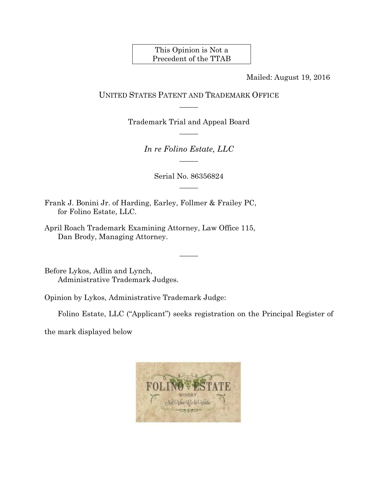This Opinion is Not a Precedent of the TTAB

Mailed: August 19, 2016

## UNITED STATES PATENT AND TRADEMARK OFFICE  $\overline{\phantom{a}}$

Trademark Trial and Appeal Board  $\overline{\phantom{a}}$ 

> *In re Folino Estate, LLC*   $\overline{\phantom{a}}$

> > Serial No. 86356824  $\overline{\phantom{a}}$

> > > $\overline{\phantom{a}}$

Frank J. Bonini Jr. of Harding, Earley, Follmer & Frailey PC, for Folino Estate, LLC.

April Roach Trademark Examining Attorney, Law Office 115, Dan Brody, Managing Attorney.

Before Lykos, Adlin and Lynch, Administrative Trademark Judges.

Opinion by Lykos, Administrative Trademark Judge:

Folino Estate, LLC ("Applicant") seeks registration on the Principal Register of

the mark displayed below

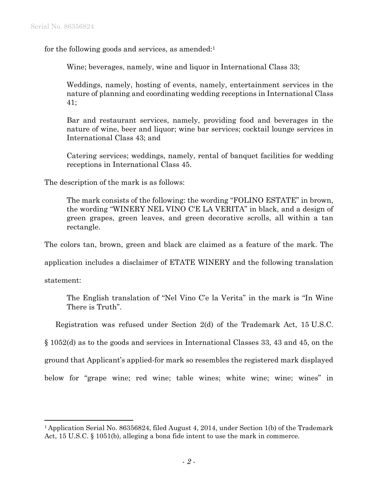for the following goods and services, as amended:<sup>1</sup>

Wine; beverages, namely, wine and liquor in International Class 33;

Weddings, namely, hosting of events, namely, entertainment services in the nature of planning and coordinating wedding receptions in International Class 41;

Bar and restaurant services, namely, providing food and beverages in the nature of wine, beer and liquor; wine bar services; cocktail lounge services in International Class 43; and

Catering services; weddings, namely, rental of banquet facilities for wedding receptions in International Class 45.

The description of the mark is as follows:

The mark consists of the following: the wording "FOLINO ESTATE" in brown, the wording "WINERY NEL VINO C'E LA VERITA" in black, and a design of green grapes, green leaves, and green decorative scrolls, all within a tan rectangle.

The colors tan, brown, green and black are claimed as a feature of the mark. The

application includes a disclaimer of ETATE WINERY and the following translation

statement:

 $\overline{a}$ 

The English translation of "Nel Vino C'e la Verita" in the mark is "In Wine There is Truth".

Registration was refused under Section 2(d) of the Trademark Act, 15 U.S.C.

§ 1052(d) as to the goods and services in International Classes 33, 43 and 45, on the

ground that Applicant's applied-for mark so resembles the registered mark displayed

below for "grape wine; red wine; table wines; white wine; wine; wines" in

<sup>1</sup> Application Serial No. 86356824, filed August 4, 2014, under Section 1(b) of the Trademark Act, 15 U.S.C. § 1051(b), alleging a bona fide intent to use the mark in commerce.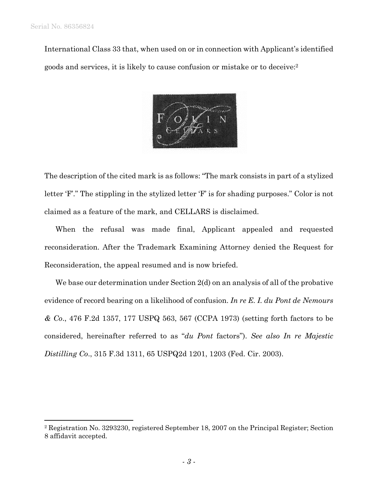1

International Class 33 that, when used on or in connection with Applicant's identified goods and services, it is likely to cause confusion or mistake or to deceive:2



The description of the cited mark is as follows: "The mark consists in part of a stylized letter 'F'." The stippling in the stylized letter 'F' is for shading purposes." Color is not claimed as a feature of the mark, and CELLARS is disclaimed.

When the refusal was made final, Applicant appealed and requested reconsideration. After the Trademark Examining Attorney denied the Request for Reconsideration, the appeal resumed and is now briefed.

We base our determination under Section 2(d) on an analysis of all of the probative evidence of record bearing on a likelihood of confusion. *In re E. I. du Pont de Nemours & Co*., 476 F.2d 1357, 177 USPQ 563, 567 (CCPA 1973) (setting forth factors to be considered, hereinafter referred to as "*du Pont* factors"). *See also In re Majestic Distilling Co*., 315 F.3d 1311, 65 USPQ2d 1201, 1203 (Fed. Cir. 2003).

<sup>2</sup> Registration No. 3293230, registered September 18, 2007 on the Principal Register; Section 8 affidavit accepted.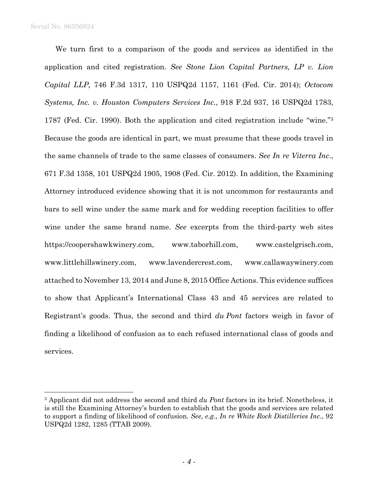Serial No. 86356824

1

We turn first to a comparison of the goods and services as identified in the application and cited registration. *See Stone Lion Capital Partners, LP v. Lion Capital LLP,* 746 F.3d 1317, 110 USPQ2d 1157, 1161 (Fed. Cir. 2014); *Octocom Systems, Inc. v. Houston Computers Services Inc.*, 918 F.2d 937, 16 USPQ2d 1783, 1787 (Fed. Cir. 1990). Both the application and cited registration include "wine."3 Because the goods are identical in part, we must presume that these goods travel in the same channels of trade to the same classes of consumers. *See In re Viterra Inc*., 671 F.3d 1358, 101 USPQ2d 1905, 1908 (Fed. Cir. 2012). In addition, the Examining Attorney introduced evidence showing that it is not uncommon for restaurants and bars to sell wine under the same mark and for wedding reception facilities to offer wine under the same brand name. *See* excerpts from the third-party web sites https://coopershawkwinery.com, www.taborhill.com, www.castelgrisch.com, www.littlehillswinery.com, www.lavendercrest.com, www.callawaywinery.com attached to November 13, 2014 and June 8, 2015 Office Actions. This evidence suffices to show that Applicant's International Class 43 and 45 services are related to Registrant's goods. Thus, the second and third *du Pont* factors weigh in favor of finding a likelihood of confusion as to each refused international class of goods and services.

<sup>3</sup> Applicant did not address the second and third *du Pont* factors in its brief. Nonetheless, it is still the Examining Attorney's burden to establish that the goods and services are related to support a finding of likelihood of confusion. *See, e.g., In re White Rock Distilleries Inc*., 92 USPQ2d 1282, 1285 (TTAB 2009).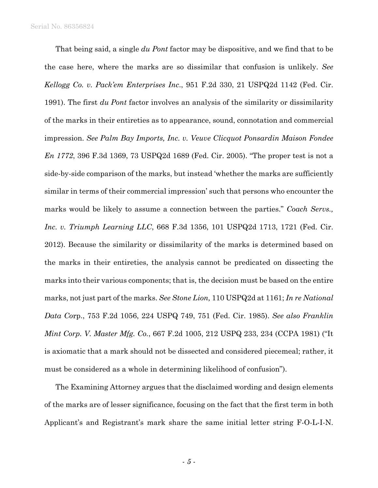Serial No. 86356824

That being said, a single *du Pont* factor may be dispositive, and we find that to be the case here, where the marks are so dissimilar that confusion is unlikely. *See Kellogg Co. v. Pack'em Enterprises Inc*., 951 F.2d 330, 21 USPQ2d 1142 (Fed. Cir. 1991). The first *du Pont* factor involves an analysis of the similarity or dissimilarity of the marks in their entireties as to appearance, sound, connotation and commercial impression. *See Palm Bay Imports, Inc. v. Veuve Clicquot Ponsardin Maison Fondee En 1772*, 396 F.3d 1369, 73 USPQ2d 1689 (Fed. Cir. 2005). "The proper test is not a side-by-side comparison of the marks, but instead 'whether the marks are sufficiently similar in terms of their commercial impression' such that persons who encounter the marks would be likely to assume a connection between the parties." *Coach Servs., Inc. v. Triumph Learning LLC*, 668 F.3d 1356, 101 USPQ2d 1713, 1721 (Fed. Cir. 2012). Because the similarity or dissimilarity of the marks is determined based on the marks in their entireties, the analysis cannot be predicated on dissecting the marks into their various components; that is, the decision must be based on the entire marks, not just part of the marks. *See Stone Lion,* 110 USPQ2d at 1161; *In re National Data Co*rp., 753 F.2d 1056, 224 USPQ 749, 751 (Fed. Cir. 1985). *See also Franklin Mint Corp. V. Master Mfg. Co.*, 667 F.2d 1005, 212 USPQ 233, 234 (CCPA 1981) ("It is axiomatic that a mark should not be dissected and considered piecemeal; rather, it must be considered as a whole in determining likelihood of confusion").

The Examining Attorney argues that the disclaimed wording and design elements of the marks are of lesser significance, focusing on the fact that the first term in both Applicant's and Registrant's mark share the same initial letter string F-O-L-I-N.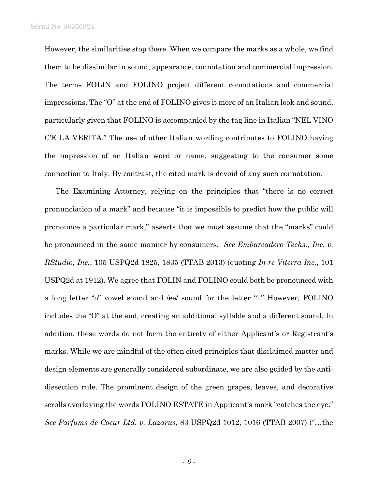Serial No. 86356824

However, the similarities stop there. When we compare the marks as a whole, we find them to be dissimilar in sound, appearance, connotation and commercial impression. The terms FOLIN and FOLINO project different connotations and commercial impressions. The "O" at the end of FOLINO gives it more of an Italian look and sound, particularly given that FOLINO is accompanied by the tag line in Italian "NEL VINO C'E LA VERITA." The use of other Italian wording contributes to FOLINO having the impression of an Italian word or name, suggesting to the consumer some connection to Italy. By contrast, the cited mark is devoid of any such connotation.

The Examining Attorney, relying on the principles that "there is no correct pronunciation of a mark" and because "it is impossible to predict how the public will pronounce a particular mark," asserts that we must assume that the "marks" could be pronounced in the same manner by consumers. *See Embarcadero Techs., Inc. v. RStudio, Inc.*, 105 USPQ2d 1825, 1835 (TTAB 2013) (quoting *In re Viterra Inc.*, 101 USPQ2d at 1912). We agree that FOLIN and FOLINO could both be pronounced with a long letter "o" vowel sound and /ee/ sound for the letter "i." However, FOLINO includes the "O" at the end, creating an additional syllable and a different sound. In addition, these words do not form the entirety of either Applicant's or Registrant's marks. While we are mindful of the often cited principles that disclaimed matter and design elements are generally considered subordinate, we are also guided by the antidissection rule. The prominent design of the green grapes, leaves, and decorative scrolls overlaying the words FOLINO ESTATE in Applicant's mark "catches the eye." *See Parfums de Coeur Ltd. v. Lazarus*, 83 USPQ2d 1012, 1016 (TTAB 2007) ("…the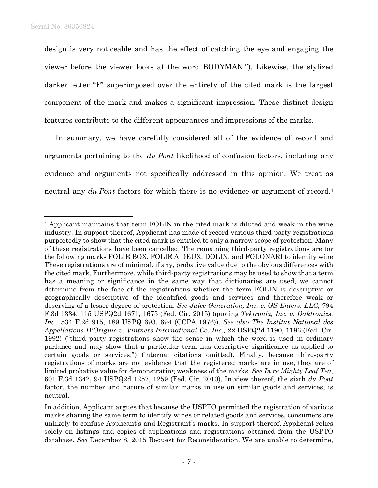1

design is very noticeable and has the effect of catching the eye and engaging the viewer before the viewer looks at the word BODYMAN."). Likewise, the stylized darker letter "F" superimposed over the entirety of the cited mark is the largest component of the mark and makes a significant impression. These distinct design features contribute to the different appearances and impressions of the marks.

In summary, we have carefully considered all of the evidence of record and arguments pertaining to the *du Pont* likelihood of confusion factors, including any evidence and arguments not specifically addressed in this opinion. We treat as neutral any *du Pont* factors for which there is no evidence or argument of record.<sup>4</sup>

<sup>4</sup> Applicant maintains that term FOLIN in the cited mark is diluted and weak in the wine industry. In support thereof, Applicant has made of record various third-party registrations purportedly to show that the cited mark is entitled to only a narrow scope of protection. Many of these registrations have been cancelled. The remaining third-party registrations are for the following marks FOLIE BOX, FOLIE A DEUX, DOLIN, and FOLONARI to identify wine These registrations are of minimal, if any, probative value due to the obvious differences with the cited mark. Furthermore, while third-party registrations may be used to show that a term has a meaning or significance in the same way that dictionaries are used, we cannot determine from the face of the registrations whether the term FOLIN is descriptive or geographically descriptive of the identified goods and services and therefore weak or deserving of a lesser degree of protection. *See Juice Generation, Inc. v. GS Enters. LLC,* 794 F.3d 1334, 115 USPQ2d 1671, 1675 (Fed. Cir. 2015) (quoting *Tektronix, Inc. v. Daktronics, Inc.,* 534 F.2d 915, 189 USPQ 693, 694 (CCPA 1976)). *See also The Institut National des Appellations D'Origine v. Vintners International Co. Inc.,* 22 USPQ2d 1190, 1196 (Fed. Cir. 1992) ("third party registrations show the sense in which the word is used in ordinary parlance and may show that a particular term has descriptive significance as applied to certain goods or services.") (internal citations omitted). Finally, because third-party registrations of marks are not evidence that the registered marks are in use, they are of limited probative value for demonstrating weakness of the marks. *See In re Mighty Leaf Tea*, 601 F.3d 1342, 94 USPQ2d 1257, 1259 (Fed. Cir. 2010). In view thereof, the sixth *du Pont*  factor, the number and nature of similar marks in use on similar goods and services, is neutral.

In addition, Applicant argues that because the USPTO permitted the registration of various marks sharing the same term to identify wines or related goods and services, consumers are unlikely to confuse Applicant's and Registrant's marks. In support thereof, Applicant relies solely on listings and copies of applications and registrations obtained from the USPTO database. *See* December 8, 2015 Request for Reconsideration. We are unable to determine,